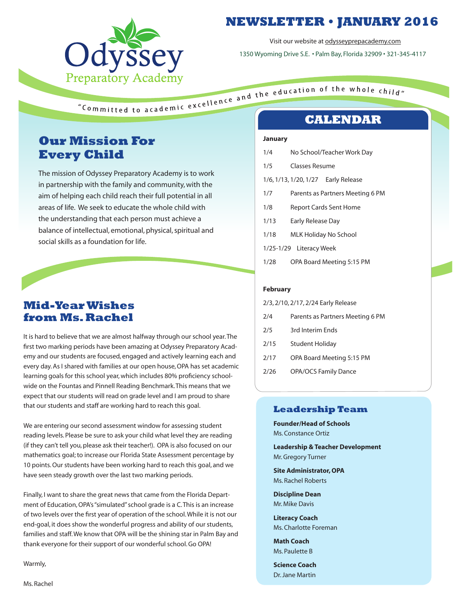

# **NEWSLETTER • JANUARY 2016**

Visit our website at odysseyprepacademy.com

1350 Wyoming Drive S.E. • Palm Bay, Florida 32909 • 321-345-4117

# **Our Mission For Every Child**

The mission of Odyssey Preparatory Academy is to work in partnership with the family and community, with the aim of helping each child reach their full potential in all areas of life. We seek to educate the whole child with the understanding that each person must achieve a balance of intellectual, emotional, physical, spiritual and social skills as a foundation for life.

### **Mid-Year Wishes from Ms. Rachel**

It is hard to believe that we are almost halfway through our school year. The first two marking periods have been amazing at Odyssey Preparatory Academy and our students are focused, engaged and actively learning each and every day. As I shared with families at our open house, OPA has set academic learning goals for this school year, which includes 80% proficiency schoolwide on the Fountas and Pinnell Reading Benchmark. This means that we expect that our students will read on grade level and I am proud to share that our students and staff are working hard to reach this goal.

We are entering our second assessment window for assessing student reading levels. Please be sure to ask your child what level they are reading (if they can't tell you, please ask their teacher!). OPA is also focused on our mathematics goal; to increase our Florida State Assessment percentage by 10 points. Our students have been working hard to reach this goal, and we have seen steady growth over the last two marking periods.

Finally, I want to share the great news that came from the Florida Department of Education, OPA's "simulated" school grade is a C. This is an increase of two levels over the first year of operation of the school. While it is not our end-goal, it does show the wonderful progress and ability of our students, families and staff. We know that OPA will be the shining star in Palm Bay and thank everyone for their support of our wonderful school. Go OPA!

Warmly,

#### **January**

| 1/4  | No School/Teacher Work Day |                                        |
|------|----------------------------|----------------------------------------|
| 1/5  | Classes Resume             |                                        |
|      |                            | 1/6, 1/13, 1/20, 1/27    Early Release |
| 1/7  |                            | Parents as Partners Meeting 6 PM       |
| 1/8  | Report Cards Sent Home     |                                        |
| 1/13 | Early Release Day          |                                        |
| 1/18 | MLK Holiday No School      |                                        |
|      | 1/25-1/29 Literacy Week    |                                        |
| 1/28 |                            | OPA Board Meeting 5:15 PM              |

#### **February**

| 2/3, 2/10, 2/17, 2/24 Early Release |                                  |  |
|-------------------------------------|----------------------------------|--|
| 2/4                                 | Parents as Partners Meeting 6 PM |  |
| 2/5                                 | 3rd Interim Ends                 |  |

- 2/15 Student Holiday
- 2/17 OPA Board Meeting 5:15 PM
- 2/26 OPA/OCS Family Dance

### **Leadership Team**

**Founder/Head of Schools** Ms. Constance Ortiz

**Leadership & Teacher Development** Mr. Gregory Turner

**Site Administrator, OPA** Ms. Rachel Roberts

**Discipline Dean** Mr. Mike Davis

**Literacy Coach** Ms. Charlotte Foreman

**Math Coach** Ms. Paulette B

**Science Coach** Dr. Jane Martin